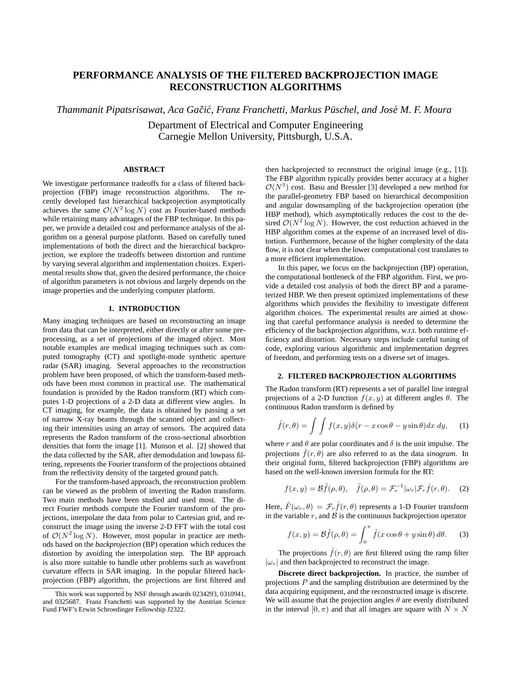# **PERFORMANCE ANALYSIS OF THE FILTERED BACKPROJECTION IMAGE RECONSTRUCTION ALGORITHMS**

*Thammanit Pipatsrisawat, Aca Gaciˇ c,´ Franz Franchetti, Markus Pusc ¨ hel, and Jose´ M. F. Moura*

Department of Electrical and Computer Engineering Carnegie Mellon University, Pittsburgh, U.S.A.

## **ABSTRACT**

We investigate performance tradeoffs for a class of filtered backprojection (FBP) image reconstruction algorithms. The recently developed fast hierarchical backprojection asymptotically achieves the same  $\mathcal{O}(N^2 \log N)$  cost as Fourier-based methods while retaining many advantages of the FBP technique. In this paper, we provide a detailed cost and performance analysis of the algorithm on a general purpose platform. Based on carefully tuned implementations of both the direct and the hierarchical backprojection, we explore the tradeoffs between distortion and runtime by varying several algorithm and implementation choices. Experimental results show that, given the desired performance, the choice of algorithm parameters is not obvious and largely depends on the image properties and the underlying computer platform.

## **1. INTRODUCTION**

Many imaging techniques are based on reconstructing an image from data that can be interpreted, either directly or after some preprocessing, as a set of projections of the imaged object. Most notable examples are medical imaging techniques such as computed tomography (CT) and spotlight-mode synthetic aperture radar (SAR) imaging. Several approaches to the reconstruction problem have been proposed, of which the transform-based methods have been most common in practical use. The mathematical foundation is provided by the Radon transform (RT) which computes 1-D projections of a 2-D data at different view angles. In CT imaging, for example, the data is obtained by passing a set of narrow X-ray beams through the scanned object and collecting their intensities using an array of sensors. The acquired data represents the Radon transform of the cross-sectional absorbtion densities that form the image [1]. Munson et al. [2] showed that the data collected by the SAR, after demodulation and lowpass filtering, represents the Fourier transform of the projections obtained from the reflectivity density of the targeted ground patch.

For the transform-based approach, the reconstruction problem can be viewed as the problem of inverting the Radon transform. Two main methods have been studied and used most. The direct Fourier methods compute the Fourier transform of the projections, interpolate the data from polar to Cartesian grid, and reconstruct the image using the inverse 2-D FFT with the total cost of  $O(N^2 \log N)$ . However, most popular in practice are methods based on the *backprojection* (BP) operation which reduces the distortion by avoiding the interpolation step. The BP approach is also more suitable to handle other problems such as wavefront curvature effects in SAR imaging. In the popular filtered backprojection (FBP) algorithm, the projections are first filtered and

then backprojected to reconstruct the original image (e.g., [1]). The FBP algorithm typically provides better accuracy at a higher  $\mathcal{O}(N^3)$  cost. Basu and Bressler [3] developed a new method for the parallel-geometry FBP based on hierarchical decomposition and angular downsampling of the backprojection operation (the HBP method), which asymptotically reduces the cost to the desired  $\mathcal{O}(N^2 \log N)$ . However, the cost reduction achieved in the HBP algorithm comes at the expense of an increased level of distortion. Furthermore, because of the higher complexity of the data flow, it is not clear when the lower computational cost translates to a more efficient implementation.

In this paper, we focus on the backprojection (BP) operation, the computational bottleneck of the FBP algorithm. First, we provide a detailed cost analysis of both the direct BP and a parameterized HBP. We then present optimized implementations of these algorithms which provides the flexibility to investigate different algorithm choices. The experimental results are aimed at showing that careful performance analysis is needed to determine the efficiency of the backprojection algorithms, w.r.t. both runtime efficiency and distortion. Necessary steps include careful tuning of code, exploring various algorithmic and implementation degrees of freedom, and performing tests on a diverse set of images.

### **2. FILTERED BACKPROJECTION ALGORITHMS**

The Radon transform (RT) represents a set of parallel line integral projections of a 2-D function  $f(x, y)$  at different angles  $\theta$ . The continuous Radon transform is defined by

$$
\hat{f}(r,\theta) = \int \int f(x,y)\delta(r-x\cos\theta - y\sin\theta)dx\,dy,\qquad(1)
$$

where r and  $\theta$  are polar coordinates and  $\delta$  is the unit impulse. The projections  $\hat{f}(r, \theta)$  are also referred to as the data *sinogram*. In their original form, filtered backprojection (FBP) algorithms are based on the well-known inversion formula for the RT:

$$
f(x,y) = \mathcal{B}\tilde{f}(\rho,\theta), \quad \tilde{f}(\rho,\theta) = \mathcal{F}_r^{-1}|\omega_r|\mathcal{F}_r\hat{f}(r,\theta). \quad (2)
$$

Here,  $\hat{F}(\omega_r, \theta) = \mathcal{F}_r \hat{f}(r, \theta)$  represents a 1-D Fourier transform in the variable  $r$ , and  $\beta$  is the continuous backprojection operator

$$
f(x,y) = \mathcal{B}\tilde{f}(\rho,\theta) = \int_0^\pi \tilde{f}(x\cos\theta + y\sin\theta) \,d\theta. \tag{3}
$$

The projections  $\hat{f}(r, \theta)$  are first filtered using the ramp filter  $|\omega_r|$  and then backprojected to reconstruct the image.

**Discrete direct backprojection.** In practice, the number of projections P and the sampling distribution are determined by the data acquiring equipment, and the reconstructed image is discrete. We will assume that the projection angles  $\theta$  are evenly distributed in the interval  $[0, \pi)$  and that all images are square with  $N \times N$ 

This work was supported by NSF through awards 0234293, 0310941, and 0325687. Franz Franchetti was supported by the Austrian Science Fund FWF's Erwin Schroedinger Fellowship J2322.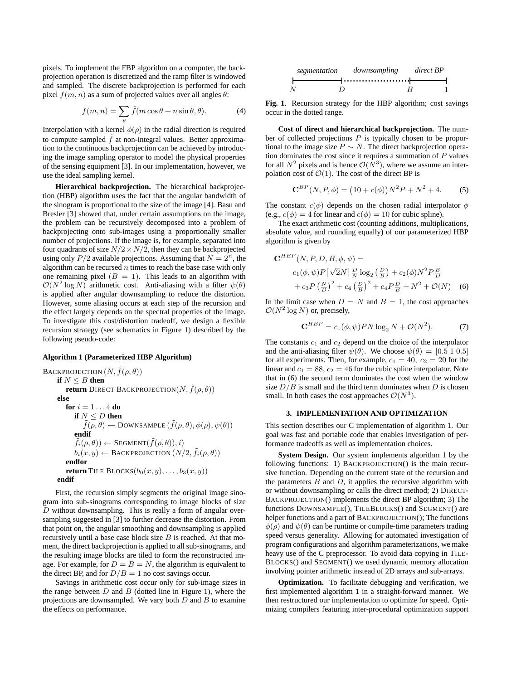pixels. To implement the FBP algorithm on a computer, the backprojection operation is discretized and the ramp filter is windowed and sampled. The discrete backprojection is performed for each pixel  $f(m, n)$  as a sum of projected values over all angles  $\theta$ :

$$
f(m, n) = \sum_{\theta} \tilde{f}(m \cos \theta + n \sin \theta, \theta). \tag{4}
$$

Interpolation with a kernel  $\phi(\rho)$  in the radial direction is required to compute sampled  $\tilde{f}$  at non-integral values. Better approximation to the continuous backprojection can be achieved by introducing the image sampling operator to model the physical properties of the sensing equipment [3]. In our implementation, however, we use the ideal sampling kernel.

**Hierarchical backprojection.** The hierarchical backprojection (HBP) algorithm uses the fact that the angular bandwidth of the sinogram is proportional to the size of the image [4]. Basu and Bresler [3] showed that, under certain assumptions on the image, the problem can be recursively decomposed into a problem of backprojecting onto sub-images using a proportionally smaller number of projections. If the image is, for example, separated into four quadrants of size  $N/2 \times N/2$ , then they can be backprojected using only  $P/2$  available projections. Assuming that  $N = 2<sup>n</sup>$ , the algorithm can be recursed  $n$  times to reach the base case with only one remaining pixel  $(B = 1)$ . This leads to an algorithm with  $\mathcal{O}(N^2 \log N)$  arithmetic cost. Anti-aliasing with a filter  $\psi(\theta)$ is applied after angular downsampling to reduce the distortion. However, some aliasing occurs at each step of the recursion and the effect largely depends on the spectral properties of the image. To investigate this cost/distortion tradeoff, we design a flexible recursion strategy (see schematics in Figure 1) described by the following pseudo-code:

## **Algorithm 1 (Parameterized HBP Algorithm)**

BACKPROJECTION  $(N, \tilde{f}(\rho, \theta))$ **if**  $N \leq B$  **then return** DIRECT BACKPROJECTION $(N, \tilde{f}(\rho, \theta))$ **else for**  $i = 1 \ldots 4$  **do if**  $N \le D$  **then**  $\tilde{f}(\rho,\theta) \leftarrow$  DOWNSAMPLE  $(\tilde{f}(\rho,\theta), \phi(\rho), \psi(\theta))$ **endif**  $(\tilde{f}_i(\rho, \theta)) \leftarrow \text{Segment}(\tilde{f}(\rho, \theta)), i)$  $b_i(x,y) \leftarrow \text{BackPROIECTION } (N/2, \tilde{f}_i(\rho, \theta))$ **endfor return** TILE BLOCKS $(b_0(x, y), \ldots, b_3(x, y))$ **endif**

First, the recursion simply segments the original image sinogram into sub-sinograms corresponding to image blocks of size  $D$  without downsampling. This is really a form of angular oversampling suggested in [3] to further decrease the distortion. From that point on, the angular smoothing and downsampling is applied recursively until a base case block size  $B$  is reached. At that moment, the direct backprojection is applied to all sub-sinograms, and the resulting image blocks are tiled to form the reconstructed image. For example, for  $D = B = N$ , the algorithm is equivalent to the direct BP, and for  $D/B = 1$  no cost savings occur.

Savings in arithmetic cost occur only for sub-image sizes in the range between  $D$  and  $B$  (dotted line in Figure 1), where the projections are downsampled. We vary both  $D$  and  $B$  to examine the effects on performance.



**Fig. 1**. Recursion strategy for the HBP algorithm; cost savings occur in the dotted range.

**Cost of direct and hierarchical backprojection.** The number of collected projections  $P$  is typically chosen to be proportional to the image size  $P \sim N$ . The direct backprojection operation dominates the cost since it requires a summation of  $P$  values for all  $N^2$  pixels and is hence  $\mathcal{O}(N^3)$ , where we assume an interpolation cost of  $\mathcal{O}(1)$ . The cost of the direct BP is

$$
\mathbf{C}^{BP}(N, P, \phi) = (10 + c(\phi))N^2 P + N^2 + 4. \tag{5}
$$

The constant  $c(\phi)$  depends on the chosen radial interpolator  $\phi$ (e.g.,  $c(\phi) = 4$  for linear and  $c(\phi) = 10$  for cubic spline).

The exact arithmetic cost (counting additions, multiplications, absolute value, and rounding equally) of our parameterized HBP algorithm is given by

$$
\mathbf{C}^{HBP}(N, P, D, B, \phi, \psi) =
$$
  
\n
$$
c_1(\phi, \psi) P \left[ \sqrt{2}N \right]_N^{\mathcal{D}} \log_2 \left( \frac{D}{B} \right) + c_2(\phi) N^2 P \frac{B}{D}
$$
  
\n
$$
+ c_3 P \left( \frac{N}{D} \right)^2 + c_4 \left( \frac{D}{B} \right)^2 + c_4 P \frac{D}{B} + N^2 + \mathcal{O}(N) \quad (6)
$$

In the limit case when  $D = N$  and  $B = 1$ , the cost approaches  $\mathcal{O}(N^2 \log N)$  or, precisely,

$$
\mathbf{C}^{HBP} = c_1(\phi, \psi)PN \log_2 N + \mathcal{O}(N^2). \tag{7}
$$

The constants  $c_1$  and  $c_2$  depend on the choice of the interpolator and the anti-aliasing filter  $\psi(\theta)$ . We choose  $\psi(\theta) = [0.5 \ 1 \ 0.5]$ for all experiments. Then, for example,  $c_1 = 40$ ,  $c_2 = 20$  for the linear and  $c_1 = 88$ ,  $c_2 = 46$  for the cubic spline interpolator. Note that in (6) the second term dominates the cost when the window size  $D/B$  is small and the third term dominates when D is chosen small. In both cases the cost approaches  $\mathcal{O}(N^3)$ .

## **3. IMPLEMENTATION AND OPTIMIZATION**

This section describes our C implementation of algorithm 1. Our goal was fast and portable code that enables investigation of performance tradeoffs as well as implementation choices.

**System Design.** Our system implements algorithm 1 by the following functions: 1) BACKPROJECTION() is the main recursive function. Depending on the current state of the recursion and the parameters  $B$  and  $D$ , it applies the recursive algorithm with or without downsampling or calls the direct method; 2) DIRECT-BACKPROJECTION() implements the direct BP algorithm; 3) The functions DOWNSAMPLE(), TILEBLOCKS() and SEGMENT() are helper functions and a part of BACKPROJECTION(); The functions  $\phi(\rho)$  and  $\psi(\theta)$  can be runtime or compile-time parameters trading speed versus generality. Allowing for automated investigation of program configurations and algorithm parameterizations, we make heavy use of the C preprocessor. To avoid data copying in TILE-BLOCKS() and SEGMENT() we used dynamic memory allocation involving pointer arithmetic instead of 2D arrays and sub-arrays.

**Optimization.** To facilitate debugging and verification, we first implemented algorithm 1 in a straight-forward manner. We then restructured our implementation to optimize for speed. Optimizing compilers featuring inter-procedural optimization support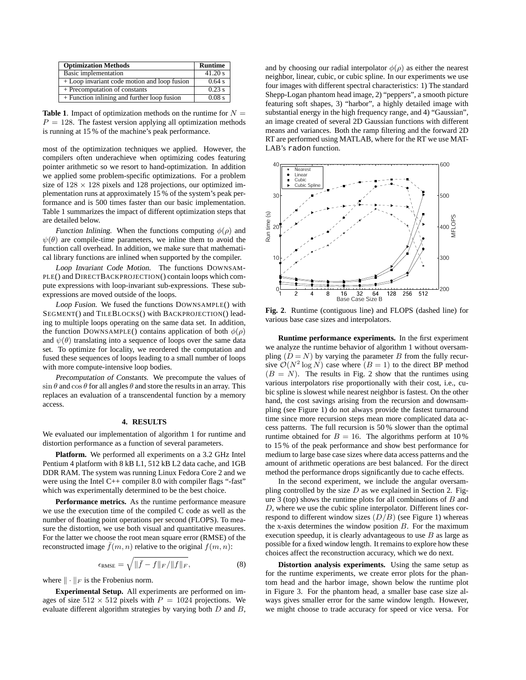| <b>Optimization Methods</b>                    | <b>Runtime</b> |
|------------------------------------------------|----------------|
| Basic implementation                           | 41.20 s        |
| $+$ Loop invariant code motion and loop fusion | 0.64 s         |
| + Precomputation of constants                  | 0.23 s         |
| + Function inlining and further loop fusion    | 0.08 s         |

**Table 1.** Impact of optimization methods on the runtime for  $N =$  $P = 128$ . The fastest version applying all optimization methods is running at 15 % of the machine's peak performance.

most of the optimization techniques we applied. However, the compilers often underachieve when optimizing codes featuring pointer arithmetic so we resort to hand-optimization. In addition we applied some problem-specific optimizations. For a problem size of  $128 \times 128$  pixels and 128 projections, our optimized implementation runs at approximately 15 % of the system's peak performance and is 500 times faster than our basic implementation. Table 1 summarizes the impact of different optimization steps that are detailed below.

Function Inlining. When the functions computing  $\phi(\rho)$  and  $\psi(\theta)$  are compile-time parameters, we inline them to avoid the function call overhead. In addition, we make sure that mathematical library functions are inlined when supported by the compiler.

Loop Invariant Code Motion. The functions DOWNSAM-PLE() and DIRECTBACKPROJECTION() contain loops which compute expressions with loop-invariant sub-expressions. These subexpressions are moved outside of the loops.

Loop Fusion. We fused the functions DOWNSAMPLE() with SEGMENT() and TILEBLOCKS() with BACKPROJECTION() leading to multiple loops operating on the same data set. In addition, the function DOWNSAMPLE() contains application of both  $\phi(\rho)$ and  $\psi(\theta)$  translating into a sequence of loops over the same data set. To optimize for locality, we reordered the computation and fused these sequences of loops leading to a small number of loops with more compute-intensive loop bodies.

Precomputation of Constants. We precompute the values of  $\sin \theta$  and  $\cos \theta$  for all angles  $\theta$  and store the results in an array. This replaces an evaluation of a transcendental function by a memory access.

#### **4. RESULTS**

We evaluated our implementation of algorithm 1 for runtime and distortion performance as a function of several parameters.

**Platform.** We performed all experiments on a 3.2 GHz Intel Pentium 4 platform with 8 kB L1, 512 kB L2 data cache, and 1GB DDR RAM. The system was running Linux Fedora Core 2 and we were using the Intel C++ compiler 8.0 with compiler flags "-fast" which was experimentally determined to be the best choice.

**Performance metrics.** As the runtime performance measure we use the execution time of the compiled C code as well as the number of floating point operations per second (FLOPS). To measure the distortion, we use both visual and quantitative measures. For the latter we choose the root mean square error (RMSE) of the reconstructed image  $\bar{f}(m, n)$  relative to the original  $f(m, n)$ :

$$
\epsilon_{\text{RMSE}} = \sqrt{\|\bar{f} - f\|_F / \|f\|_F},\tag{8}
$$

where  $\|\cdot\|_F$  is the Frobenius norm.

**Experimental Setup.** All experiments are performed on images of size  $512 \times 512$  pixels with  $P = 1024$  projections. We evaluate different algorithm strategies by varying both D and B, and by choosing our radial interpolator  $\phi(\rho)$  as either the nearest neighbor, linear, cubic, or cubic spline. In our experiments we use four images with different spectral characteristics: 1) The standard Shepp-Logan phantom head image, 2) "peppers", a smooth picture featuring soft shapes, 3) "harbor", a highly detailed image with substantial energy in the high frequency range, and 4) "Gaussian", an image created of several 2D Gaussian functions with different means and variances. Both the ramp filtering and the forward 2D RT are performed using MATLAB, where for the RT we use MAT-LAB's radon function.



**Fig. 2**. Runtime (contiguous line) and FLOPS (dashed line) for various base case sizes and interpolators.

**Runtime performance experiments.** In the first experiment we analyze the runtime behavior of algorithm 1 without oversampling  $(D = N)$  by varying the parameter B from the fully recursive  $\mathcal{O}(N^2 \log N)$  case where  $(B = 1)$  to the direct BP method  $(B = N)$ . The results in Fig. 2 show that the runtimes using various interpolators rise proportionally with their cost, i.e., cubic spline is slowest while nearest neighbor is fastest. On the other hand, the cost savings arising from the recursion and downsampling (see Figure 1) do not always provide the fastest turnaround time since more recursion steps mean more complicated data access patterns. The full recursion is 50 % slower than the optimal runtime obtained for  $B = 16$ . The algorithms perform at 10% to 15 % of the peak performance and show best performance for medium to large base case sizes where data access patterns and the amount of arithmetic operations are best balanced. For the direct method the performance drops significantly due to cache effects.

In the second experiment, we include the angular oversampling controlled by the size  $D$  as we explained in Section 2. Figure 3 (top) shows the runtime plots for all combinations of  $B$  and D, where we use the cubic spline interpolator. Different lines correspond to different window sizes  $(D/B)$  (see Figure 1) whereas the x-axis determines the window position  $B$ . For the maximum execution speedup, it is clearly advantageous to use  $B$  as large as possible for a fixed window length. It remains to explore how these choices affect the reconstruction accuracy, which we do next.

**Distortion analysis experiments.** Using the same setup as for the runtime experiments, we create error plots for the phantom head and the harbor image, shown below the runtime plot in Figure 3. For the phantom head, a smaller base case size always gives smaller error for the same window length. However, we might choose to trade accuracy for speed or vice versa. For